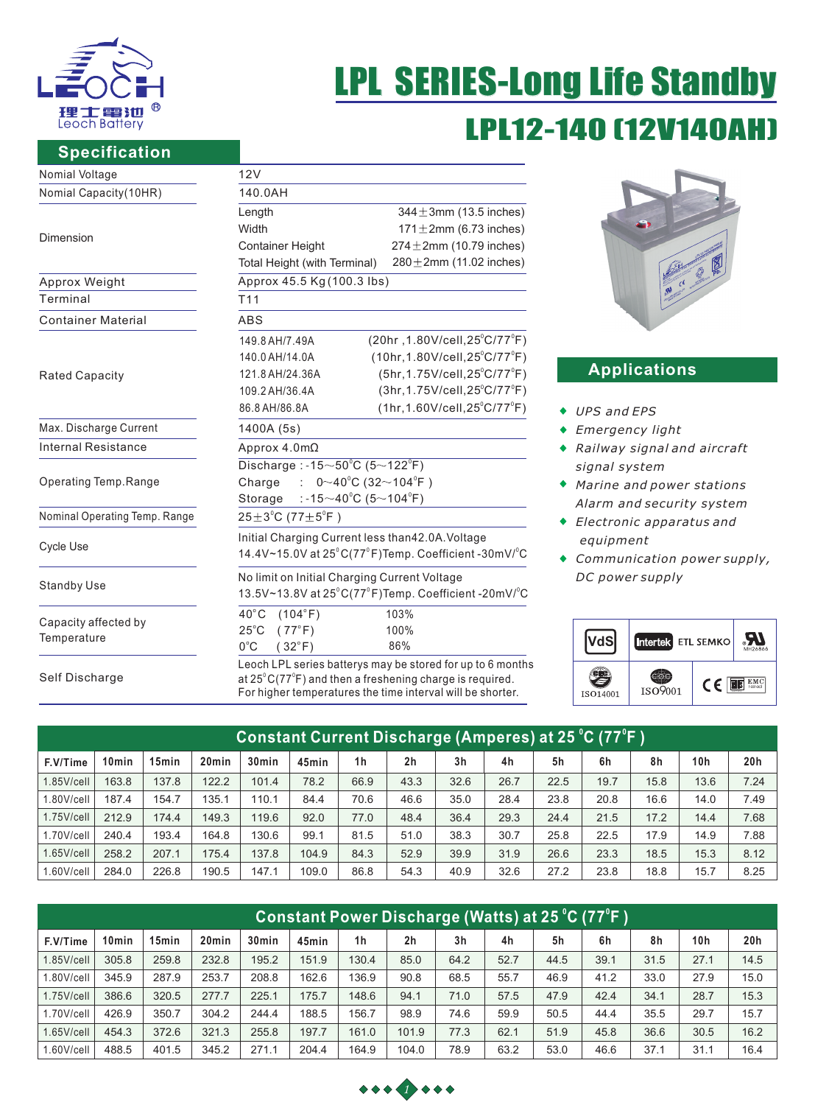

# LPL12-140 [12V140A LPL SERIES-Long Life Standby

### **Specification**

| Nomial Voltage                      | 12V                                                                                 |  |  |  |  |  |  |
|-------------------------------------|-------------------------------------------------------------------------------------|--|--|--|--|--|--|
| Nomial Capacity(10HR)               | 140.0AH                                                                             |  |  |  |  |  |  |
|                                     | $344 \pm 3$ mm (13.5 inches)<br>Length                                              |  |  |  |  |  |  |
|                                     | $171 \pm 2$ mm (6.73 inches)<br>Width                                               |  |  |  |  |  |  |
| Dimension                           | $274 \pm 2$ mm (10.79 inches)<br><b>Container Height</b>                            |  |  |  |  |  |  |
|                                     | $280 \pm 2$ mm (11.02 inches)<br>Total Height (with Terminal)                       |  |  |  |  |  |  |
| Approx Weight                       | Approx 45.5 Kg (100.3 lbs)                                                          |  |  |  |  |  |  |
| Terminal                            | T <sub>11</sub>                                                                     |  |  |  |  |  |  |
| <b>Container Material</b>           | <b>ABS</b>                                                                          |  |  |  |  |  |  |
|                                     | $(20hr, 1.80V/cell, 25^{\circ}C/77^{\circ}F)$<br>149.8 AH/7.49A                     |  |  |  |  |  |  |
|                                     | $(10hr, 1.80V/cell, 25^{\circ}C/77^{\circ}F)$<br>140.0 AH/14.0A                     |  |  |  |  |  |  |
| <b>Rated Capacity</b>               | (5hr, 1.75V/cell, 25°C/77°F)<br>121.8 AH/24.36A                                     |  |  |  |  |  |  |
|                                     | $(3hr, 1.75V/cell, 25^{\circ}C/77^{\circ}F)$<br>109.2 AH/36.4A                      |  |  |  |  |  |  |
|                                     | $(1hr, 1.60V/cell, 25^{\circ}C/77^{\circ}F)$<br>86.8 AH/86.8A                       |  |  |  |  |  |  |
| Max. Discharge Current              | 1400A (5s)                                                                          |  |  |  |  |  |  |
| Internal Resistance                 | Approx $4.0 \text{m}\Omega$                                                         |  |  |  |  |  |  |
|                                     | Discharge: -15 $\sim$ 50 $^{\circ}$ C (5 $\sim$ 122 $^{\circ}$ F)                   |  |  |  |  |  |  |
| Operating Temp.Range                | : $0 \sim 40^{\circ}$ C (32 $\sim$ 104 $^{\circ}$ F)<br>Charge                      |  |  |  |  |  |  |
|                                     | Storage :-15 $\sim$ 40 $^{\circ}$ C (5 $\sim$ 104 $^{\circ}$ F)                     |  |  |  |  |  |  |
| Nominal Operating Temp. Range       | $25 \pm 3^{\circ}$ C (77 $\pm 5^{\circ}$ F)                                         |  |  |  |  |  |  |
|                                     | Initial Charging Current less than42.0A. Voltage                                    |  |  |  |  |  |  |
| Cycle Use                           | 14.4V~15.0V at $25^{\circ}$ C(77 $^{\circ}$ F)Temp. Coefficient -30mV/ $^{\circ}$ C |  |  |  |  |  |  |
|                                     | No limit on Initial Charging Current Voltage                                        |  |  |  |  |  |  |
| <b>Standby Use</b>                  | 13.5V~13.8V at 25°C(77°F)Temp. Coefficient -20mV/°C                                 |  |  |  |  |  |  |
|                                     | $40^{\circ}$ C<br>(104°F)<br>103%                                                   |  |  |  |  |  |  |
| Capacity affected by<br>Temperature | $25^{\circ}$ C<br>$(77^{\circ}F)$<br>100%                                           |  |  |  |  |  |  |
|                                     | 86%<br>$0^{\circ}$ C<br>$(32^{\circ}F)$                                             |  |  |  |  |  |  |
|                                     | Leoch LPL series batterys may be stored for up to 6 months                          |  |  |  |  |  |  |
| Self Discharge                      | at $25^{\circ}$ C(77 $^{\circ}$ F) and then a freshening charge is required.        |  |  |  |  |  |  |

at 25°C(77°F) and then a freshening charge is required. For higher temperatures the time interval will be shorter.



## **Applications**

- 86.8 AH/86.8A *UPS and EPS*
- *Emergency light*
- *Railway signal and aircraft signal system*
- k. *Marine and power stations Alarm and security system*
- *Electronic apparatus and equipment*
- *Communication power supply, DC power supply*

|          | Intertek ETL SEMKO |    | MH26866       |
|----------|--------------------|----|---------------|
| ISO14001 | ISO9001            | (C | EMC<br>tested |

| Constant Current Discharge (Amperes) at 25 °C (77°F ) |                   |                   |                   |                   |       |                |                |                |                |      |      |      |      |      |
|-------------------------------------------------------|-------------------|-------------------|-------------------|-------------------|-------|----------------|----------------|----------------|----------------|------|------|------|------|------|
| F.V/Time                                              | 10 <sub>min</sub> | 15 <sub>min</sub> | 20 <sub>min</sub> | 30 <sub>min</sub> | 45min | 1 <sub>h</sub> | 2 <sub>h</sub> | 3 <sub>h</sub> | 4 <sub>h</sub> | 5h   | 6h   | 8h   | 10h  | 20h  |
| $1.85$ V/cell                                         | 163.8             | 137.8             | 122.2             | 101.4             | 78.2  | 66.9           | 43.3           | 32.6           | 26.7           | 22.5 | 19.7 | 15.8 | 13.6 | 7.24 |
| 1.80V/cell                                            | 187.4             | 154.7             | 135.1             | 110.1             | 84.4  | 70.6           | 46.6           | 35.0           | 28.4           | 23.8 | 20.8 | 16.6 | 14.0 | 7.49 |
| $1.75$ V/cell                                         | 212.9             | 174.4             | 149.3             | 119.6             | 92.0  | 77.0           | 48.4           | 36.4           | 29.3           | 24.4 | 21.5 | 17.2 | 14.4 | 7.68 |
| 1.70V/cell                                            | 240.4             | 193.4             | 164.8             | 130.6             | 99.1  | 81.5           | 51.0           | 38.3           | 30.7           | 25.8 | 22.5 | 17.9 | 14.9 | 7.88 |
| $1.65$ V/cell                                         | 258.2             | 207.1             | 175.4             | 137.8             | 104.9 | 84.3           | 52.9           | 39.9           | 31.9           | 26.6 | 23.3 | 18.5 | 15.3 | 8.12 |
| $1.60$ V/cell                                         | 284.0             | 226.8             | 190.5             | 147.1             | 109.0 | 86.8           | 54.3           | 40.9           | 32.6           | 27.2 | 23.8 | 18.8 | 15.7 | 8.25 |

| (Constant Power Discharge (Watts) at 25 °C (77°F ) |       |                   |                   |                   |       |                |                |                |      |      |      |      |                 |      |
|----------------------------------------------------|-------|-------------------|-------------------|-------------------|-------|----------------|----------------|----------------|------|------|------|------|-----------------|------|
| F.V/Time                                           | 10min | 15 <sub>min</sub> | 20 <sub>min</sub> | 30 <sub>min</sub> | 45min | 1 <sub>h</sub> | 2 <sub>h</sub> | 3 <sub>h</sub> | 4h   | 5h   | 6h   | 8h   | 10 <sub>h</sub> | 20h  |
| $1.85$ V/cell                                      | 305.8 | 259.8             | 232.8             | 195.2             | 151.9 | 130.4          | 85.0           | 64.2           | 52.7 | 44.5 | 39.1 | 31.5 | 27.1            | 14.5 |
| 1.80V/cell                                         | 345.9 | 287.9             | 253.7             | 208.8             | 162.6 | 136.9          | 90.8           | 68.5           | 55.7 | 46.9 | 41.2 | 33.0 | 27.9            | 15.0 |
| $1.75$ V/cell                                      | 386.6 | 320.5             | 277.7             | 225.1             | 175.7 | 148.6          | 94.1           | 71.0           | 57.5 | 47.9 | 42.4 | 34.1 | 28.7            | 15.3 |
| 1.70V/cell                                         | 426.9 | 350.7             | 304.2             | 244.4             | 188.5 | 156.7          | 98.9           | 74.6           | 59.9 | 50.5 | 44.4 | 35.5 | 29.7            | 15.7 |
| $1.65$ V/cell                                      | 454.3 | 372.6             | 321.3             | 255.8             | 197.7 | 161.0          | 101.9          | 77.3           | 62.1 | 51.9 | 45.8 | 36.6 | 30.5            | 16.2 |
| $1.60$ V/cell                                      | 488.5 | 401.5             | 345.2             | 271.1             | 204.4 | 164.9          | 104.0          | 78.9           | 63.2 | 53.0 | 46.6 | 37.1 | 31.1            | 16.4 |